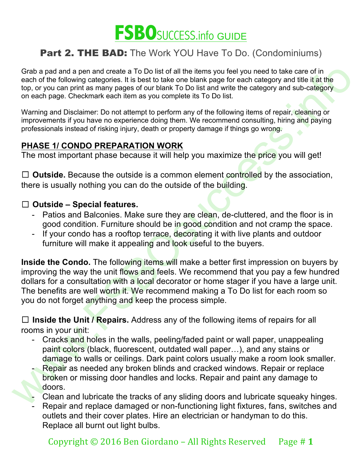

Grab a pad and a pen and create a To Do list of all the items you feel you need to take care of in each of the following categories. It is best to take one blank page for each category and title it at the top, or you can print as many pages of our blank To Do list and write the category and sub-category on each page. Checkmark each item as you complete its To Do list.

Warning and Disclaimer: Do not attempt to perform any of the following items of repair, cleaning or improvements if you have no experience doing them. We recommend consulting, hiring and paying professionals instead of risking injury, death or property damage if things go wrong.

### **PHASE 1/ CONDO PREPARATION WORK**

The most important phase because it will help you maximize the price you will get!

□ **Outside.** Because the outside is a common element controlled by the association, there is usually nothing you can do the outside of the building.

#### ☐ **Outside – Special features.**

- Patios and Balconies. Make sure they are clean, de-cluttered, and the floor is in good condition. Furniture should be in good condition and not cramp the space.
- If your condo has a rooftop terrace, decorating it with live plants and outdoor furniture will make it appealing and look useful to the buyers.

Grab a para and reade a To Do list of all the riems you fely ou need to take care of in<br>Capacity on the disk of all the riems of the detailed parameters of the category and the riems<br>on each page. Checkmark each tiem as yo **Inside the Condo.** The following items will make a better first impression on buyers by improving the way the unit flows and feels. We recommend that you pay a few hundred dollars for a consultation with a local decorator or home stager if you have a large unit. The benefits are well worth it. We recommend making a To Do list for each room so you do not forget anything and keep the process simple.

☐ **Inside the Unit / Repairs.** Address any of the following items of repairs for all rooms in your unit:

- Cracks and holes in the walls, peeling/faded paint or wall paper, unappealing paint colors (black, fluorescent, outdated wall paper…), and any stains or damage to walls or ceilings. Dark paint colors usually make a room look smaller.
- Repair as needed any broken blinds and cracked windows. Repair or replace broken or missing door handles and locks. Repair and paint any damage to doors.
- Clean and lubricate the tracks of any sliding doors and lubricate squeaky hinges.
- Repair and replace damaged or non-functioning light fixtures, fans, switches and outlets and their cover plates. Hire an electrician or handyman to do this. Replace all burnt out light bulbs.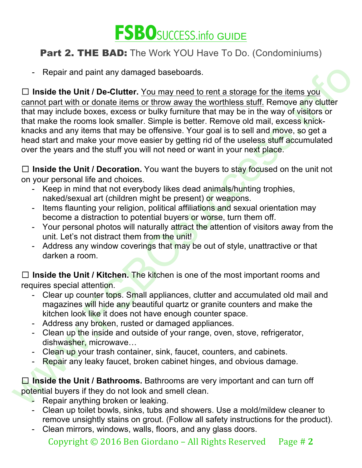

- Repair and paint any damaged baseboards.

Repair and paint any dramaged baseboards.<br>  $\square$  Inside the Unit / De-Clutter, You may need to rent a storage for the items you<br>
cannot part with or donate liems, or throw away the worthless stuff. Remove any dutter<br>
that ☐ **Inside the Unit / De-Clutter.** You may need to rent a storage for the items you cannot part with or donate items or throw away the worthless stuff. Remove any clutter that may include boxes, excess or bulky furniture that may be in the way of visitors or that make the rooms look smaller. Simple is better. Remove old mail, excess knickknacks and any items that may be offensive. Your goal is to sell and move, so get a head start and make your move easier by getting rid of the useless stuff accumulated over the years and the stuff you will not need or want in your next place.

□ **Inside the Unit / Decoration.** You want the buyers to stay focused on the unit not on your personal life and choices.

- Keep in mind that not everybody likes dead animals/hunting trophies, naked/sexual art (children might be present) or weapons.
- Items flaunting your religion, political affiliations and sexual orientation may become a distraction to potential buyers or worse, turn them off.
- Your personal photos will naturally attract the attention of visitors away from the unit. Let's not distract them from the unit!
- Address any window coverings that may be out of style, unattractive or that darken a room.

☐ **Inside the Unit / Kitchen.** The kitchen is one of the most important rooms and requires special attention.

- Clear up counter tops. Small appliances, clutter and accumulated old mail and magazines will hide any beautiful quartz or granite counters and make the kitchen look like it does not have enough counter space.
- Address any broken, rusted or damaged appliances.
- Clean up the inside and outside of your range, oven, stove, refrigerator, dishwasher, microwave…
- Clean up your trash container, sink, faucet, counters, and cabinets.
- Repair any leaky faucet, broken cabinet hinges, and obvious damage.

**□ Inside the Unit / Bathrooms.** Bathrooms are very important and can turn off potential buyers if they do not look and smell clean.

- Repair anything broken or leaking.
- Clean up toilet bowls, sinks, tubs and showers. Use a mold/mildew cleaner to remove unsightly stains on grout. (Follow all safety instructions for the product).
- Clean mirrors, windows, walls, floors, and any glass doors.

Copyright  $\odot$  2016 Ben Giordano – All Rights Reserved Page # 2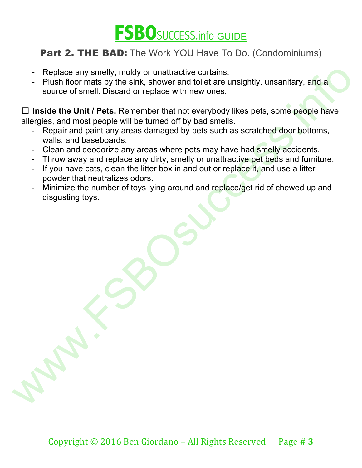

- Replace any smelly, moldy or unattractive curtains.
- Plush floor mats by the sink, shower and toilet are unsightly, unsanitary, and a source of smell. Discard or replace with new ones.

Feplace any smelly, molety or unattractive curatins; encourance and source of smell. Discard or replace with new ones.<br>
Thush floor mats by the sink, shower and toliet are unsightly, unsanitary, and a<br>
source of smell. Dis ☐ **Inside the Unit / Pets.** Remember that not everybody likes pets, some people have allergies, and most people will be turned off by bad smells.

- Repair and paint any areas damaged by pets such as scratched door bottoms, walls, and baseboards.
- Clean and deodorize any areas where pets may have had smelly accidents.
- Throw away and replace any dirty, smelly or unattractive pet beds and furniture.
- If you have cats, clean the litter box in and out or replace it, and use a litter powder that neutralizes odors.
- Minimize the number of toys lying around and replace/get rid of chewed up and disgusting toys.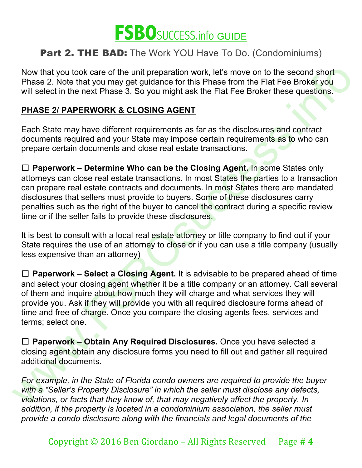

Now that you took care of the unit preparation work, let's move on to the second short Phase 2. Note that you may get guidance for this Phase from the Flat Fee Broker you will select in the next Phase 3. So you might ask the Flat Fee Broker these questions.

#### **PHASE 2/ PAPERWORK & CLOSING AGENT**

Each State may have different requirements as far as the disclosures and contract documents required and your State may impose certain requirements as to who can prepare certain documents and close real estate transactions.

☐ **Paperwork – Determine Who can be the Closing Agent.** In some States only attorneys can close real estate transactions. In most States the parties to a transaction can prepare real estate contracts and documents. In most States there are mandated disclosures that sellers must provide to buyers. Some of these disclosures carry penalties such as the right of the buyer to cancel the contract during a specific review time or if the seller fails to provide these disclosures.

It is best to consult with a local real estate attorney or title company to find out if your State requires the use of an attorney to close or if you can use a title company (usually less expensive than an attorney)

Now that you took care of the unit preparation work, let's move on to the second short<br>phase 2. Note that you may get guidance for this Phase from the Fiat Fee Boker you<br>will select in the next Phase 3. So you might ask t ☐ **Paperwork – Select a Closing Agent.** It is advisable to be prepared ahead of time and select your closing agent whether it be a title company or an attorney. Call several of them and inquire about how much they will charge and what services they will provide you. Ask if they will provide you with all required disclosure forms ahead of time and free of charge. Once you compare the closing agents fees, services and terms; select one.

☐ **Paperwork – Obtain Any Required Disclosures.** Once you have selected a closing agent obtain any disclosure forms you need to fill out and gather all required additional documents.

*For example, in the State of Florida condo owners are required to provide the buyer with a "Seller's Property Disclosure" in which the seller must disclose any defects, violations, or facts that they know of, that may negatively affect the property. In addition, if the property is located in a condominium association, the seller must provide a condo disclosure along with the financials and legal documents of the*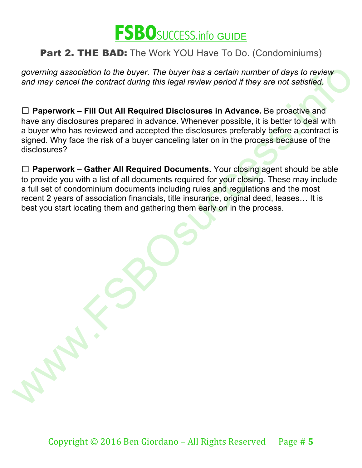

*governing association to the buyer. The buyer has a certain number of days to review and may cancel the contract during this legal review period if they are not satisfied.*

governing association to the buyer. The buyer has a certain number of days to review<br>and may cancel the contract during this legal review period if they are not satisfied.<br>  $\Box$  **Paperwork - Fill Out All Required Disclosur** ☐ **Paperwork – Fill Out All Required Disclosures in Advance.** Be proactive and have any disclosures prepared in advance. Whenever possible, it is better to deal with a buyer who has reviewed and accepted the disclosures preferably before a contract is signed. Why face the risk of a buyer canceling later on in the process because of the disclosures?

☐ **Paperwork – Gather All Required Documents.** Your closing agent should be able to provide you with a list of all documents required for your closing. These may include a full set of condominium documents including rules and regulations and the most recent 2 years of association financials, title insurance, original deed, leases… It is best you start locating them and gathering them early on in the process.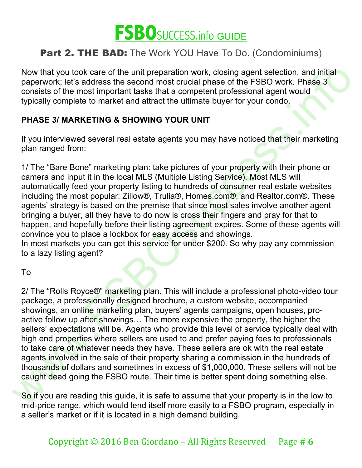

Now that you took care of the unit preparation work, closing agent selection, and initial paperwork; let's address the second most crucial phase of the FSBO work. Phase 3 consists of the most important tasks that a competent professional agent would typically complete to market and attract the ultimate buyer for your condo.

### **PHASE 3/ MARKETING & SHOWING YOUR UNIT**

If you interviewed several real estate agents you may have noticed that their marketing plan ranged from:

1/ The "Bare Bone" marketing plan: take pictures of your property with their phone or camera and input it in the local MLS (Multiple Listing Service). Most MLS will automatically feed your property listing to hundreds of consumer real estate websites including the most popular: Zillow®, Trulia®, Homes.com®, and Realtor.com®. These agents' strategy is based on the premise that since most sales involve another agent bringing a buyer, all they have to do now is cross their fingers and pray for that to happen, and hopefully before their listing agreement expires. Some of these agents will convince you to place a lockbox for easy access and showings.

In most markets you can get this service for under \$200. So why pay any commission to a lazy listing agent?

To

Now that you took care of the unit preparation work, closing agent selection, and initial<br>paperwork: let's address the second most crucial phase of the FSBO work. Phase 3<br>ponsists of the most important tasks that a compete 2/ The "Rolls Royce®" marketing plan. This will include a professional photo-video tour package, a professionally designed brochure, a custom website, accompanied showings, an online marketing plan, buyers' agents campaigns, open houses, proactive follow up after showings... The more expensive the property, the higher the sellers' expectations will be. Agents who provide this level of service typically deal with high end properties where sellers are used to and prefer paying fees to professionals to take care of whatever needs they have. These sellers are ok with the real estate agents involved in the sale of their property sharing a commission in the hundreds of thousands of dollars and sometimes in excess of \$1,000,000. These sellers will not be caught dead going the FSBO route. Their time is better spent doing something else.

So if you are reading this guide, it is safe to assume that your property is in the low to mid-price range, which would lend itself more easily to a FSBO program, especially in a seller's market or if it is located in a high demand building.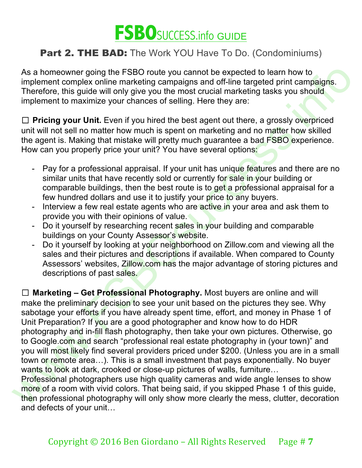

As a homeowner going the FSBO route you cannot be expected to learn how to implement complex online marketing campaigns and off-line targeted print campaigns. Therefore, this guide will only give you the most crucial marketing tasks you should implement to maximize your chances of selling. Here they are:

□ **Pricing your Unit.** Even if you hired the best agent out there, a grossly overpriced unit will not sell no matter how much is spent on marketing and no matter how skilled the agent is. Making that mistake will pretty much guarantee a bad FSBO experience. How can you properly price your unit? You have several options:

- Pay for a professional appraisal. If your unit has unique features and there are no similar units that have recently sold or currently for sale in your building or comparable buildings, then the best route is to get a professional appraisal for a few hundred dollars and use it to justify your price to any buyers.
- Interview a few real estate agents who are active in your area and ask them to provide you with their opinions of value.
- Do it yourself by researching recent sales in your building and comparable buildings on your County Assessor's website.
- Do it yourself by looking at your neighborhood on Zillow.com and viewing all the sales and their pictures and descriptions if available. When compared to County Assessors' websites, Zillow.com has the major advantage of storing pictures and descriptions of past sales.

As a homeowner going the FSBO route you cannot be expected to learn how to depend<br>implement complex online marketing campaigns and off-line targeted print campaigns.<br>Therefore, this guide will only give you the most cruci ☐ **Marketing – Get Professional Photography.** Most buyers are online and will make the preliminary decision to see your unit based on the pictures they see. Why sabotage your efforts if you have already spent time, effort, and money in Phase 1 of Unit Preparation? If you are a good photographer and know how to do HDR photography and in-fill flash photography, then take your own pictures. Otherwise, go to Google.com and search "professional real estate photography in (your town)" and you will most likely find several providers priced under \$200. (Unless you are in a small town or remote area…). This is a small investment that pays exponentially. No buyer wants to look at dark, crooked or close-up pictures of walls, furniture...

Professional photographers use high quality cameras and wide angle lenses to show more of a room with vivid colors. That being said, if you skipped Phase 1 of this guide, then professional photography will only show more clearly the mess, clutter, decoration and defects of your unit…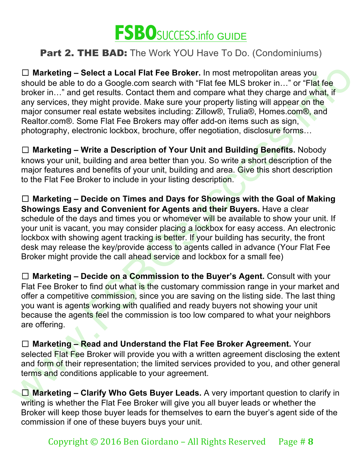

□ **Marketing – Select a Local Flat Fee Broker.** In most metropolitan areas you should be able to do a Google.com search with "Flat fee MLS broker in..." or "Flat fee broker in…" and get results. Contact them and compare what they charge and what, if any services, they might provide. Make sure your property listing will appear on the major consumer real estate websites including: Zillow®, Trulia®, Homes.com®, and Realtor.com®. Some Flat Fee Brokers may offer add-on items such as sign, photography, electronic lockbox, brochure, offer negotiation, disclosure forms…

☐ **Marketing – Write a Description of Your Unit and Building Benefits.** Nobody knows your unit, building and area better than you. So write a short description of the major features and benefits of your unit, building and area. Give this short description to the Flat Fee Broker to include in your listing description.

 $□$  Marketing – Soloci a Local Flat Fee Broker. In most metropolitan areas you<br>
should be able to do a Google.com search with "Flat fee MLS broker in..." or "Flat fee<br>
broker in..." and get results. Contact them and com ☐ **Marketing – Decide on Times and Days for Showings with the Goal of Making Showings Easy and Convenient for Agents and their Buyers.** Have a clear schedule of the days and times you or whomever will be available to show your unit. If your unit is vacant, you may consider placing a lockbox for easy access. An electronic lockbox with showing agent tracking is better. If your building has security, the front desk may release the key/provide access to agents called in advance (Your Flat Fee Broker might provide the call ahead service and lockbox for a small fee)

☐ **Marketing – Decide on a Commission to the Buyer's Agent.** Consult with your Flat Fee Broker to find out what is the customary commission range in your market and offer a competitive commission, since you are saving on the listing side. The last thing you want is agents working with qualified and ready buyers not showing your unit because the agents feel the commission is too low compared to what your neighbors are offering.

☐ **Marketing – Read and Understand the Flat Fee Broker Agreement.** Your selected Flat Fee Broker will provide you with a written agreement disclosing the extent and form of their representation; the limited services provided to you, and other general terms and conditions applicable to your agreement.

☐ **Marketing – Clarify Who Gets Buyer Leads.** A very important question to clarify in writing is whether the Flat Fee Broker will give you all buyer leads or whether the Broker will keep those buyer leads for themselves to earn the buyer's agent side of the commission if one of these buyers buys your unit.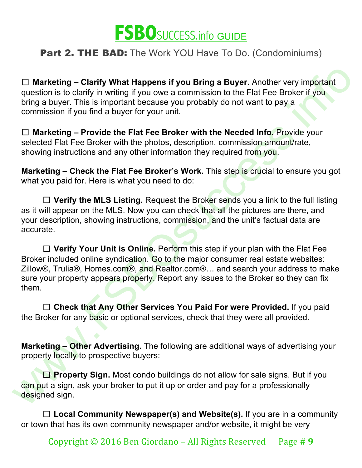

☐ **Marketing – Clarify What Happens if you Bring a Buyer.** Another very important question is to clarify in writing if you owe a commission to the Flat Fee Broker if you bring a buyer. This is important because you probably do not want to pay a commission if you find a buyer for your unit.

☐ **Marketing – Provide the Flat Fee Broker with the Needed Info.** Provide your selected Flat Fee Broker with the photos, description, commission amount/rate, showing instructions and any other information they required from you.

**Marketing – Check the Flat Fee Broker's Work.** This step is crucial to ensure you got what you paid for. Here is what you need to do:

□ Verify the MLS Listing. Request the Broker sends you a link to the full listing as it will appear on the MLS. Now you can check that all the pictures are there, and your description, showing instructions, commission, and the unit's factual data are accurate.

 $□$  Marketing – Clarify What Happens if you Bring a Buyer. Another very important<br>question is to clarify in writing if you owe a commission to the Fial Fee Broker if you<br>toring a buyer. This is important because you pro □ **Verify Your Unit is Online.** Perform this step if your plan with the Flat Fee Broker included online syndication. Go to the major consumer real estate websites: Zillow®, Trulia®, Homes.com®, and Realtor.com®... and search your address to make sure your property appears properly. Report any issues to the Broker so they can fix them.

□ Check that Any Other Services You Paid For were Provided. If you paid the Broker for any basic or optional services, check that they were all provided.

**Marketing – Other Advertising.** The following are additional ways of advertising your property locally to prospective buyers:

☐ **Property Sign.** Most condo buildings do not allow for sale signs. But if you can put a sign, ask your broker to put it up or order and pay for a professionally designed sign.

☐ **Local Community Newspaper(s) and Website(s).** If you are in a community or town that has its own community newspaper and/or website, it might be very

Copyright  $\odot$  2016 Ben Giordano – All Rights Reserved Page # 9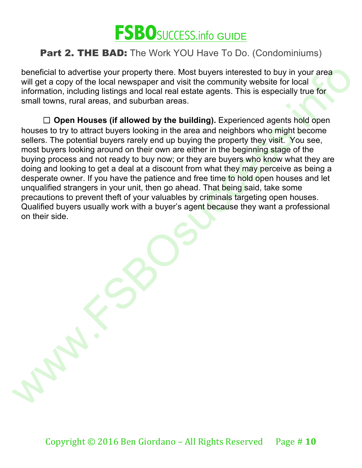

beneficial to advertise your property there. Most buyers interested to buy in your area will get a copy of the local newspaper and visit the community website for local information, including listings and local real estate agents. This is especially true for small towns, rural areas, and suburban areas.

beneficial to advertise your properly there. Most buyers interested to buy in your area information, including listings and local real estate agents. This is especially true for install trowns, rural areas, and suburban ar ☐ **Open Houses (if allowed by the building).** Experienced agents hold open houses to try to attract buyers looking in the area and neighbors who might become sellers. The potential buyers rarely end up buying the property they visit. You see, most buyers looking around on their own are either in the beginning stage of the buying process and not ready to buy now; or they are buyers who know what they are doing and looking to get a deal at a discount from what they may perceive as being a desperate owner. If you have the patience and free time to hold open houses and let unqualified strangers in your unit, then go ahead. That being said, take some precautions to prevent theft of your valuables by criminals targeting open houses. Qualified buyers usually work with a buyer's agent because they want a professional on their side.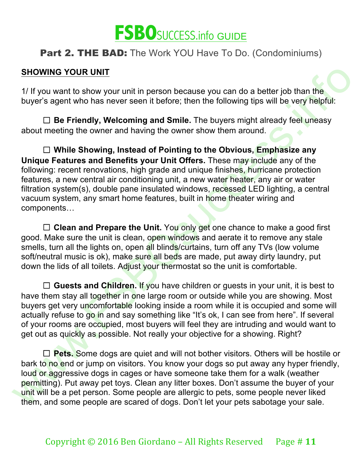

#### **SHOWING YOUR UNIT**

1/ If you want to show your unit in person because you can do a better job than the buyer's agent who has never seen it before; then the following tips will be very helpful:

□ **Be Friendly, Welcoming and Smile.** The buyers might already feel uneasy about meeting the owner and having the owner show them around.

SHOWING YOUR UNIT<br>
1/ If you want to show your unit in person because you can do a better job than the<br>
buyer's agent who has never seen it before; then the following tips will be very helpful:<br>
1) Be Friendly, Welcoming a ☐ **While Showing, Instead of Pointing to the Obvious, Emphasize any Unique Features and Benefits your Unit Offers.** These may include any of the following: recent renovations, high grade and unique finishes, hurricane protection features, a new central air conditioning unit, a new water heater, any air or water filtration system(s), double pane insulated windows, recessed LED lighting, a central vacuum system, any smart home features, built in home theater wiring and components…

□ **Clean and Prepare the Unit.** You only get one chance to make a good first good. Make sure the unit is clean, open windows and aerate it to remove any stale smells, turn all the lights on, open all blinds/curtains, turn off any TVs (low volume soft/neutral music is ok), make sure all beds are made, put away dirty laundry, put down the lids of all toilets. Adjust your thermostat so the unit is comfortable.

□ **Guests and Children.** If you have children or quests in your unit, it is best to have them stay all together in one large room or outside while you are showing. Most buyers get very uncomfortable looking inside a room while it is occupied and some will actually refuse to go in and say something like "It's ok, I can see from here". If several of your rooms are occupied, most buyers will feel they are intruding and would want to get out as quickly as possible. Not really your objective for a showing. Right?

□ **Pets.** Some dogs are quiet and will not bother visitors. Others will be hostile or bark to no end or jump on visitors. You know your dogs so put away any hyper friendly, loud or aggressive dogs in cages or have someone take them for a walk (weather permitting). Put away pet toys. Clean any litter boxes. Don't assume the buyer of your unit will be a pet person. Some people are allergic to pets, some people never liked them, and some people are scared of dogs. Don't let your pets sabotage your sale.